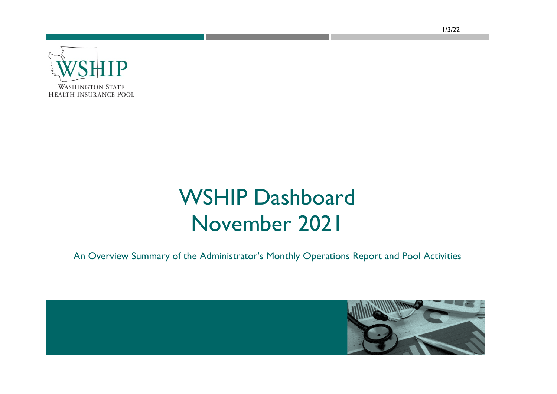

## WSHIP Dashboard November 2021

An Overview Summary of the Administrator's Monthly Operations Report and Pool Activities



1/3/22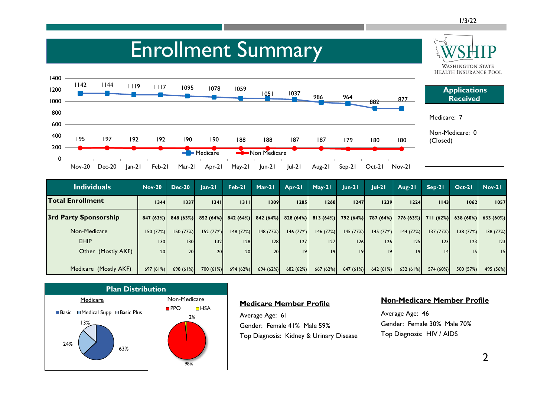#### Enrollment Summary **WASHINGTON STATE HEALTH INSURANCE POOL** 1400 <sup>1142</sup> <sup>1144</sup> <sup>1119</sup> <sup>1117</sup> <sup>1095</sup> <sup>1078</sup> <sup>1059</sup> 1200 **Applications**  <sup>1051</sup> <sup>1037</sup> <sup>986</sup> <sup>964</sup> **Received** 882 877 1000 800 Medicare: 7 600 Non-Medicare: 0 400 195 197 192 192 190 190 188 188 187 187 179 180 180 (Closed) 200 Medicare Non Medicare  $\Omega$ Nov-20 Dec-20 Jan-21 Feb-21 Mar-21 Apr-21 May-21 Jun-21 Jul-21 Aug-21 Sep-21 Oct-21 Nov-21

| <b>Individuals</b>    | <b>Nov-20</b> | <b>Dec-20</b>         | $lan-21$  | $Feb-21$ | $Mar-21$             | Apr-21    | $May-21$                       | $ un-2 $  | $ ul-2 $  | Aug-21    | $Sep-21$                                | $Oct-21$  | <b>Nov-21</b> |
|-----------------------|---------------|-----------------------|-----------|----------|----------------------|-----------|--------------------------------|-----------|-----------|-----------|-----------------------------------------|-----------|---------------|
| Total Enrollment      | 1344          | 1337                  | 1341      | 1311     | 1309                 | 1285      | 1268                           | 1247      | 1239      | 1224      | 1143                                    | 1062      | 1057          |
| 3rd Party Sponsorship |               | $847(63\%)$ 848 (63%) | 852 (64%) |          | $842(64%)$ 842 (64%) |           | $828(64%)$ 813 (64%) 792 (64%) |           |           |           | 787 (64%) 776 (63%) 711 (62%) 638 (60%) |           | 633(60%)      |
| Non-Medicare          | 150(77%)      | 150(77%)              | 152(77%)  | 148(77%) | 148(77%)             | 146(77%)  | 146 (77%)                      | 145 (77%) | 145(77%)  | 144 (77%) | 137(77%)                                | 138(77%)  | 138 (77%)     |
| <b>EHIP</b>           | 130           | 130                   | $132$     | 28       | 28                   | 27        | 127                            | 26        | 126       | 125       | 23                                      | 23        | 123           |
| Other (Mostly AKF)    | <b>20</b>     | 20                    | 20        | 20       | 20 <sup>1</sup>      | 9         | 9                              | 9         | 9         | 9         | 14                                      |           | 15            |
|                       |               |                       |           |          |                      |           |                                |           |           |           |                                         |           |               |
| Medicare (Mostly AKF) | 697(61%)      | 698(61%)              | 700(61%)  | 694(62%) | 694 (62%)            | 682 (62%) | 667(62%)                       | 647(61%)  | 642 (61%) | 632(61%)  | 574 (60%)                               | 500 (57%) | 495 (56%)     |



### **Medicare Member Profile**

Average Age: 61 Gender: Female 41% Male 59% Top Diagnosis: Kidney & Urinary Disease

### **Non-Medicare Member Profile**

Average Age: 46 Gender: Female 30% Male 70% Top Diagnosis: HIV / AIDS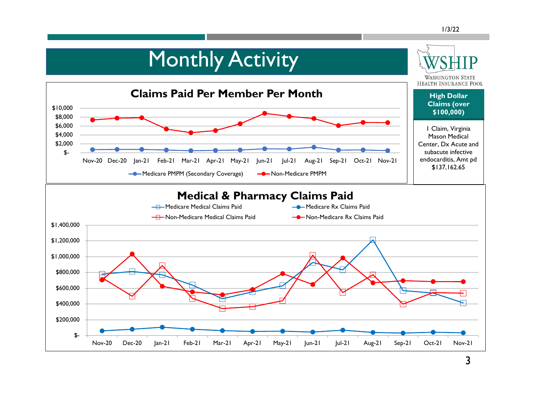## **Monthly Activity**

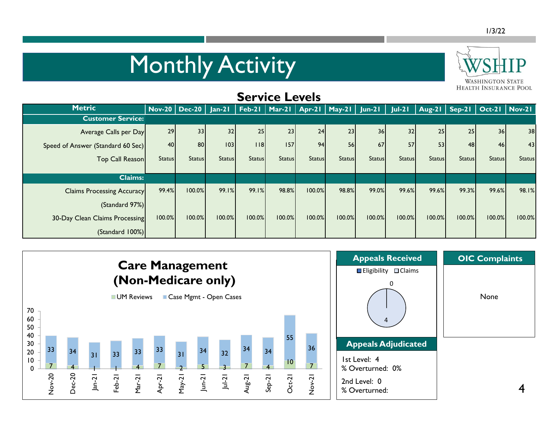# Monthly Activity



| <b>Service Levels</b> |                                   |               |                                                                       |               |               |               |               |               |               |               |                 |               |                                   |               |
|-----------------------|-----------------------------------|---------------|-----------------------------------------------------------------------|---------------|---------------|---------------|---------------|---------------|---------------|---------------|-----------------|---------------|-----------------------------------|---------------|
|                       | <b>Metric</b>                     |               | Nov-20   Dec-20   Jan-21   Feb-21   Mar-21   Apr-21   May-21   Jun-21 |               |               |               |               |               |               | $ ul-2 $      |                 |               | Aug-21   Sep-21   Oct-21   Nov-21 |               |
|                       | <b>Customer Service:</b>          |               |                                                                       |               |               |               |               |               |               |               |                 |               |                                   |               |
|                       | Average Calls per Day             | 29            | 33                                                                    | 32            | 25            | 23            | 24            | 23            | 36            | 32            | 25 <sub>1</sub> | 25            | 36 <sup>1</sup>                   | 38            |
|                       | Speed of Answer (Standard 60 Sec) | 40            | 80                                                                    | 103           | 18            | 157           | 94            | <b>56</b>     | 67            | 57            | 53              | 48            | 46                                | 43            |
|                       | Top Call Reason                   | <b>Status</b> | <b>Status</b>                                                         | <b>Status</b> | <b>Status</b> | <b>Status</b> | <b>Status</b> | <b>Status</b> | <b>Status</b> | <b>Status</b> | <b>Status</b>   | <b>Status</b> | <b>Status</b>                     | <b>Status</b> |
|                       |                                   |               |                                                                       |               |               |               |               |               |               |               |                 |               |                                   |               |
|                       | <b>Claims:</b>                    |               |                                                                       |               |               |               |               |               |               |               |                 |               |                                   |               |
|                       | <b>Claims Processing Accuracy</b> | 99.4%         | 100.0%                                                                | 99.1%         | 99.1%         | 98.8%         | 100.0%        | 98.8%         | 99.0%         | 99.6%         | 99.6%           | 99.3%         | 99.6%                             | 98.1%         |
|                       | (Standard 97%)                    |               |                                                                       |               |               |               |               |               |               |               |                 |               |                                   |               |
|                       | 30-Day Clean Claims Processing    | 100.0%        | 100.0%                                                                | 100.0%        | 100.0%        | 100.0%        | 100.0%        | 100.0%        | 100.0%        | 100.0%        | 100.0%          | 100.0%        | 100.0%                            | 100.0%        |
|                       | (Standard 100%)                   |               |                                                                       |               |               |               |               |               |               |               |                 |               |                                   |               |

**Service Levels**